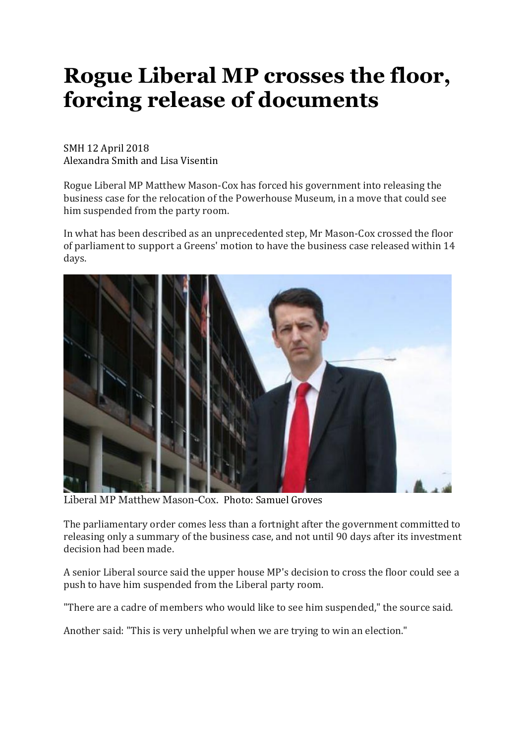## **Rogue Liberal MP crosses the floor, forcing release of documents**

## SMH 12 April 2018 Alexandra Smith and Lisa Visentin

Rogue Liberal MP Matthew Mason-Cox has forced his government into releasing the business case for the relocation of the Powerhouse Museum, in a move that could see him suspended from the party room.

In what has been described as an unprecedented step, Mr Mason-Cox crossed the floor of parliament to support a Greens' motion to have the business case released within 14 days.



Liberal MP Matthew Mason-Cox. Photo: Samuel Groves

The parliamentary order comes less than a fortnight after the government committed to releasing only a summary of the business case, and not until 90 days after its investment decision had been made.

A senior Liberal source said the upper house MP's decision to cross the floor could see a push to have him suspended from the Liberal party room.

"There are a cadre of members who would like to see him suspended," the source said.

Another said: "This is very unhelpful when we are trying to win an election."